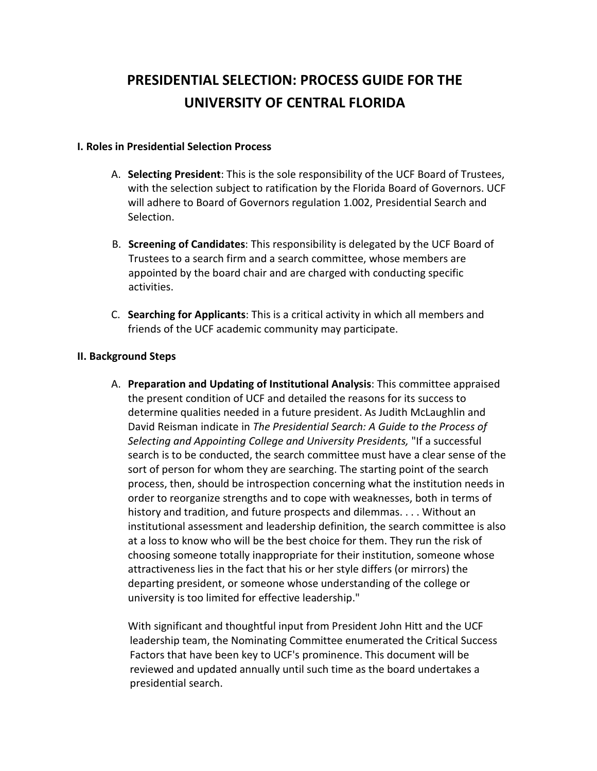# **PRESIDENTIAL SELECTION: PROCESS GUIDE FOR THE UNIVERSITY OF CENTRAL FLORIDA**

#### **I. Roles in Presidential Selection Process**

- A. **Selecting President**: This is the sole responsibility of the UCF Board of Trustees, with the selection subject to ratification by the Florida Board of Governors. UCF will adhere to Board of Governors regulation 1.002, Presidential Search and Selection.
- B. **Screening of Candidates**: This responsibility is delegated by the UCF Board of Trustees to a search firm and a search committee, whose members are appointed by the board chair and are charged with conducting specific activities.
- C. **Searching for Applicants**: This is a critical activity in which all members and friends of the UCF academic community may participate.

### **II. Background Steps**

A. **Preparation and Updating of Institutional Analysis**: This committee appraised the present condition of UCF and detailed the reasons for its success to determine qualities needed in a future president. As Judith McLaughlin and David Reisman indicate in *The Presidential Search: A Guide to the Process of Selecting and Appointing College and University Presidents,* "If a successful search is to be conducted, the search committee must have a clear sense of the sort of person for whom they are searching. The starting point of the search process, then, should be introspection concerning what the institution needs in order to reorganize strengths and to cope with weaknesses, both in terms of history and tradition, and future prospects and dilemmas. . . . Without an institutional assessment and leadership definition, the search committee is also at a loss to know who will be the best choice for them. They run the risk of choosing someone totally inappropriate for their institution, someone whose attractiveness lies in the fact that his or her style differs (or mirrors) the departing president, or someone whose understanding of the college or university is too limited for effective leadership."

With significant and thoughtful input from President John Hitt and the UCF leadership team, the Nominating Committee enumerated the Critical Success Factors that have been key to UCF's prominence. This document will be reviewed and updated annually until such time as the board undertakes a presidential search.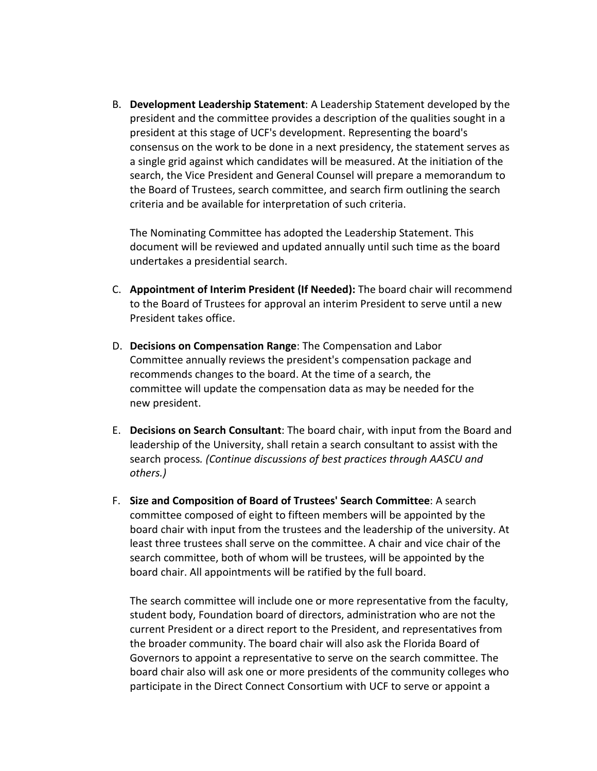B. **Development Leadership Statement**: A Leadership Statement developed by the president and the committee provides a description of the qualities sought in a president at this stage of UCF's development. Representing the board's consensus on the work to be done in a next presidency, the statement serves as a single grid against which candidates will be measured. At the initiation of the search, the Vice President and General Counsel will prepare a memorandum to the Board of Trustees, search committee, and search firm outlining the search criteria and be available for interpretation of such criteria.

The Nominating Committee has adopted the Leadership Statement. This document will be reviewed and updated annually until such time as the board undertakes a presidential search.

- C. **Appointment of Interim President (If Needed):** The board chair will recommend to the Board of Trustees for approval an interim President to serve until a new President takes office.
- D. **Decisions on Compensation Range**: The Compensation and Labor Committee annually reviews the president's compensation package and recommends changes to the board. At the time of a search, the committee will update the compensation data as may be needed for the new president.
- E. **Decisions on Search Consultant**: The board chair, with input from the Board and leadership of the University, shall retain a search consultant to assist with the search process*. (Continue discussions of best practices through AASCU and others.)*
- F. **Size and Composition of Board of Trustees' Search Committee**: A search committee composed of eight to fifteen members will be appointed by the board chair with input from the trustees and the leadership of the university. At least three trustees shall serve on the committee. A chair and vice chair of the search committee, both of whom will be trustees, will be appointed by the board chair. All appointments will be ratified by the full board.

The search committee will include one or more representative from the faculty, student body, Foundation board of directors, administration who are not the current President or a direct report to the President, and representatives from the broader community. The board chair will also ask the Florida Board of Governors to appoint a representative to serve on the search committee. The board chair also will ask one or more presidents of the community colleges who participate in the Direct Connect Consortium with UCF to serve or appoint a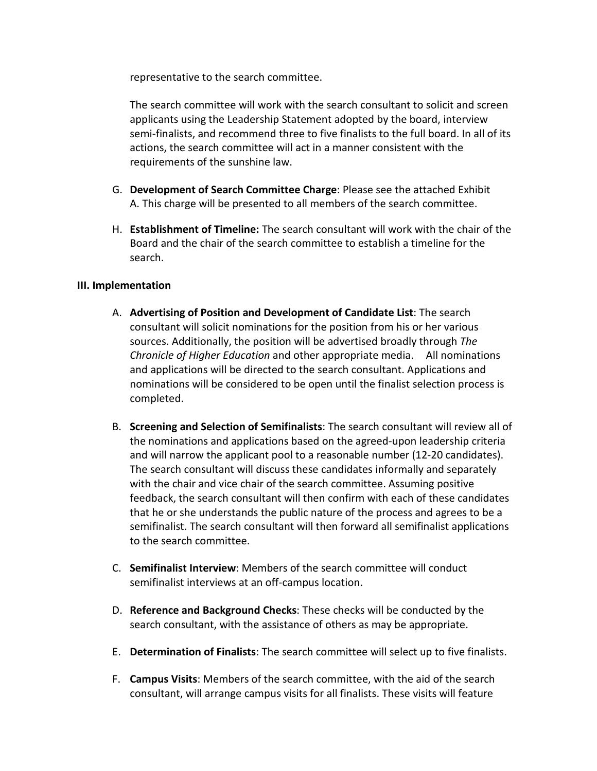representative to the search committee.

The search committee will work with the search consultant to solicit and screen applicants using the Leadership Statement adopted by the board, interview semi-finalists, and recommend three to five finalists to the full board. In all of its actions, the search committee will act in a manner consistent with the requirements of the sunshine law.

- G. **Development of Search Committee Charge**: Please see the attached Exhibit A. This charge will be presented to all members of the search committee.
- H. **Establishment of Timeline:** The search consultant will work with the chair of the Board and the chair of the search committee to establish a timeline for the search.

### **III. Implementation**

- A. **Advertising of Position and Development of Candidate List**: The search consultant will solicit nominations for the position from his or her various sources. Additionally, the position will be advertised broadly through *The Chronicle of Higher Education* and other appropriate media. All nominations and applications will be directed to the search consultant. Applications and nominations will be considered to be open until the finalist selection process is completed.
- B. **Screening and Selection of Semifinalists**: The search consultant will review all of the nominations and applications based on the agreed-upon leadership criteria and will narrow the applicant pool to a reasonable number (12-20 candidates). The search consultant will discuss these candidates informally and separately with the chair and vice chair of the search committee. Assuming positive feedback, the search consultant will then confirm with each of these candidates that he or she understands the public nature of the process and agrees to be a semifinalist. The search consultant will then forward all semifinalist applications to the search committee.
- C. **Semifinalist Interview**: Members of the search committee will conduct semifinalist interviews at an off-campus location.
- D. **Reference and Background Checks**: These checks will be conducted by the search consultant, with the assistance of others as may be appropriate.
- E. **Determination of Finalists**: The search committee will select up to five finalists.
- F. **Campus Visits**: Members of the search committee, with the aid of the search consultant, will arrange campus visits for all finalists. These visits will feature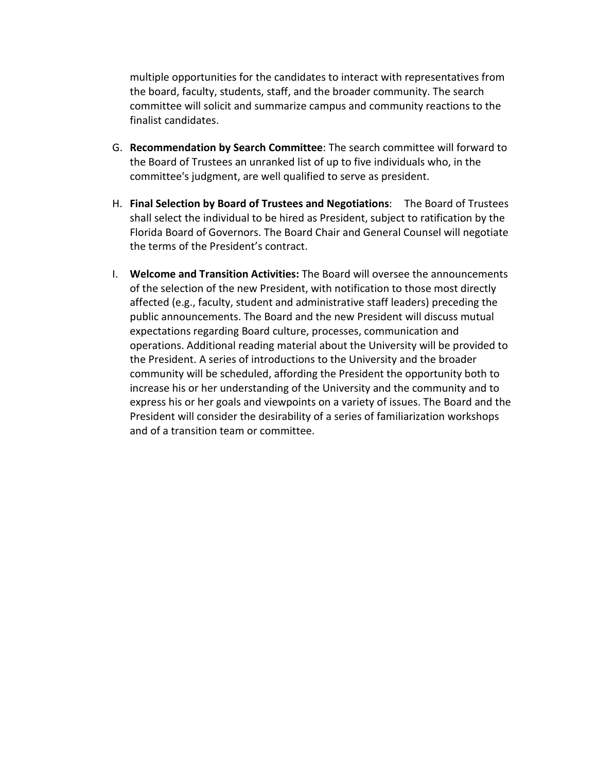multiple opportunities for the candidates to interact with representatives from the board, faculty, students, staff, and the broader community. The search committee will solicit and summarize campus and community reactions to the finalist candidates.

- G. **Recommendation by Search Committee**: The search committee will forward to the Board of Trustees an unranked list of up to five individuals who, in the committee's judgment, are well qualified to serve as president.
- H. **Final Selection by Board of Trustees and Negotiations**: The Board of Trustees shall select the individual to be hired as President, subject to ratification by the Florida Board of Governors. The Board Chair and General Counsel will negotiate the terms of the President's contract.
- I. **Welcome and Transition Activities:** The Board will oversee the announcements of the selection of the new President, with notification to those most directly affected (e.g., faculty, student and administrative staff leaders) preceding the public announcements. The Board and the new President will discuss mutual expectations regarding Board culture, processes, communication and operations. Additional reading material about the University will be provided to the President. A series of introductions to the University and the broader community will be scheduled, affording the President the opportunity both to increase his or her understanding of the University and the community and to express his or her goals and viewpoints on a variety of issues. The Board and the President will consider the desirability of a series of familiarization workshops and of a transition team or committee.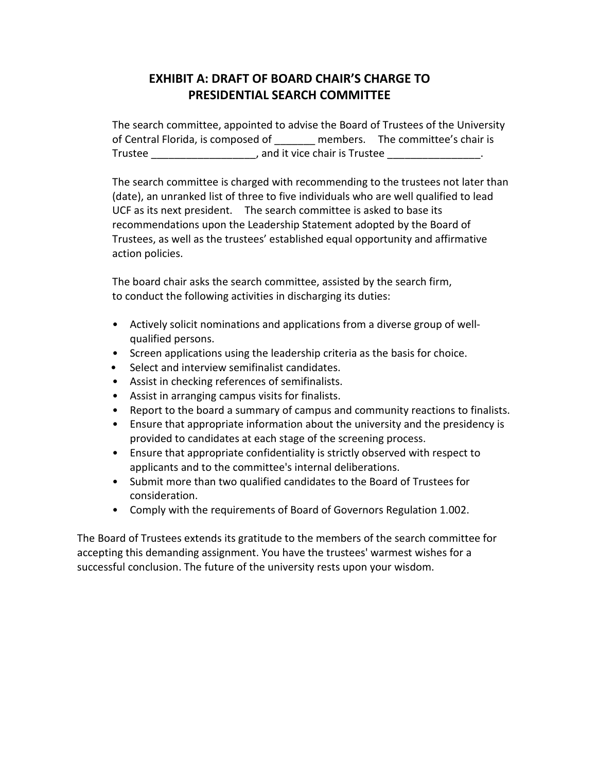# **EXHIBIT A: DRAFT OF BOARD CHAIR'S CHARGE TO PRESIDENTIAL SEARCH COMMITTEE**

The search committee, appointed to advise the Board of Trustees of the University of Central Florida, is composed of \_\_\_\_\_\_\_ members. The committee's chair is Trustee Trustee and it vice chair is Trustee and it vice  $\sim$  .

The search committee is charged with recommending to the trustees not later than (date), an unranked list of three to five individuals who are well qualified to lead UCF as its next president. The search committee is asked to base its recommendations upon the Leadership Statement adopted by the Board of Trustees, as well as the trustees' established equal opportunity and affirmative action policies.

The board chair asks the search committee, assisted by the search firm, to conduct the following activities in discharging its duties:

- Actively solicit nominations and applications from a diverse group of wellqualified persons.
- Screen applications using the leadership criteria as the basis for choice.
- Select and interview semifinalist candidates.
- Assist in checking references of semifinalists.
- Assist in arranging campus visits for finalists.
- Report to the board a summary of campus and community reactions to finalists.
- Ensure that appropriate information about the university and the presidency is provided to candidates at each stage of the screening process.
- Ensure that appropriate confidentiality is strictly observed with respect to applicants and to the committee's internal deliberations.
- Submit more than two qualified candidates to the Board of Trustees for consideration.
- Comply with the requirements of Board of Governors Regulation 1.002.

The Board of Trustees extends its gratitude to the members of the search committee for accepting this demanding assignment. You have the trustees' warmest wishes for a successful conclusion. The future of the university rests upon your wisdom.